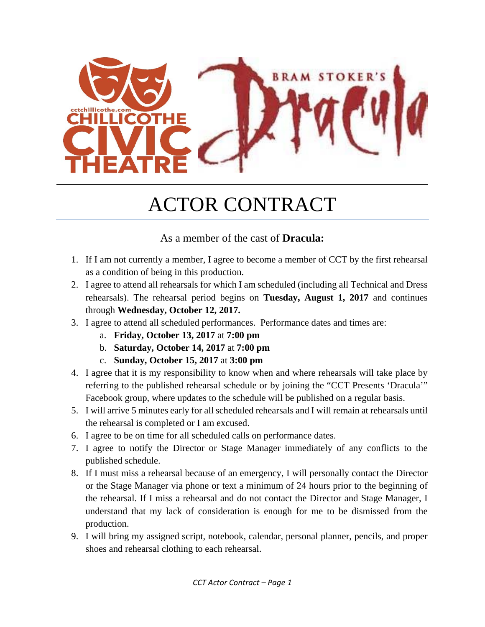

## ACTOR CONTRACT

### As a member of the cast of **Dracula:**

- 1. If I am not currently a member, I agree to become a member of CCT by the first rehearsal as a condition of being in this production.
- 2. I agree to attend all rehearsals for which I am scheduled (including all Technical and Dress rehearsals). The rehearsal period begins on **Tuesday, August 1, 2017** and continues through **Wednesday, October 12, 2017.**
- 3. I agree to attend all scheduled performances. Performance dates and times are:
	- a. **Friday, October 13, 2017** at **7:00 pm**
	- b. **Saturday, October 14, 2017** at **7:00 pm**
	- c. **Sunday, October 15, 2017** at **3:00 pm**
- 4. I agree that it is my responsibility to know when and where rehearsals will take place by referring to the published rehearsal schedule or by joining the "CCT Presents 'Dracula'" Facebook group, where updates to the schedule will be published on a regular basis.
- 5. I will arrive 5 minutes early for all scheduled rehearsals and I will remain at rehearsals until the rehearsal is completed or I am excused.
- 6. I agree to be on time for all scheduled calls on performance dates.
- 7. I agree to notify the Director or Stage Manager immediately of any conflicts to the published schedule.
- 8. If I must miss a rehearsal because of an emergency, I will personally contact the Director or the Stage Manager via phone or text a minimum of 24 hours prior to the beginning of the rehearsal. If I miss a rehearsal and do not contact the Director and Stage Manager, I understand that my lack of consideration is enough for me to be dismissed from the production.
- 9. I will bring my assigned script, notebook, calendar, personal planner, pencils, and proper shoes and rehearsal clothing to each rehearsal.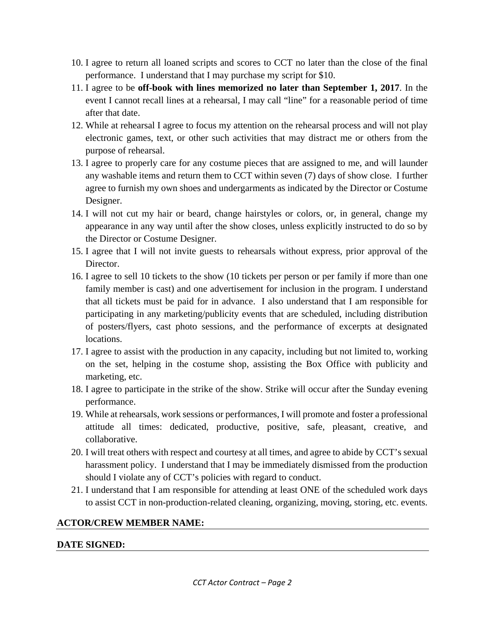- 10. I agree to return all loaned scripts and scores to CCT no later than the close of the final performance. I understand that I may purchase my script for \$10.
- 11. I agree to be **off-book with lines memorized no later than September 1, 2017**. In the event I cannot recall lines at a rehearsal, I may call "line" for a reasonable period of time after that date.
- 12. While at rehearsal I agree to focus my attention on the rehearsal process and will not play electronic games, text, or other such activities that may distract me or others from the purpose of rehearsal.
- 13. I agree to properly care for any costume pieces that are assigned to me, and will launder any washable items and return them to CCT within seven (7) days of show close. I further agree to furnish my own shoes and undergarments as indicated by the Director or Costume Designer.
- 14. I will not cut my hair or beard, change hairstyles or colors, or, in general, change my appearance in any way until after the show closes, unless explicitly instructed to do so by the Director or Costume Designer.
- 15. I agree that I will not invite guests to rehearsals without express, prior approval of the Director.
- 16. I agree to sell 10 tickets to the show (10 tickets per person or per family if more than one family member is cast) and one advertisement for inclusion in the program. I understand that all tickets must be paid for in advance. I also understand that I am responsible for participating in any marketing/publicity events that are scheduled, including distribution of posters/flyers, cast photo sessions, and the performance of excerpts at designated locations.
- 17. I agree to assist with the production in any capacity, including but not limited to, working on the set, helping in the costume shop, assisting the Box Office with publicity and marketing, etc.
- 18. I agree to participate in the strike of the show. Strike will occur after the Sunday evening performance.
- 19. While at rehearsals, work sessions or performances, I will promote and foster a professional attitude all times: dedicated, productive, positive, safe, pleasant, creative, and collaborative.
- 20. I will treat others with respect and courtesy at all times, and agree to abide by CCT's sexual harassment policy. I understand that I may be immediately dismissed from the production should I violate any of CCT's policies with regard to conduct.
- 21. I understand that I am responsible for attending at least ONE of the scheduled work days to assist CCT in non-production-related cleaning, organizing, moving, storing, etc. events.

#### **ACTOR/CREW MEMBER NAME:**

#### **DATE SIGNED:**